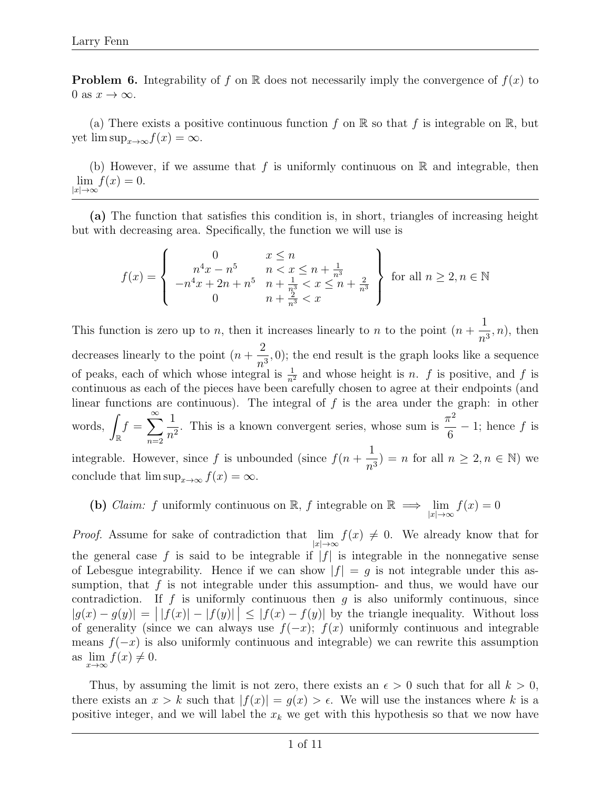**Problem 6.** Integrability of f on R does not necessarily imply the convergence of  $f(x)$  to 0 as  $x \to \infty$ .

(a) There exists a positive continuous function f on  $\mathbb R$  so that f is integrable on  $\mathbb R$ , but yet  $\limsup_{x\to\infty}f(x)=\infty$ .

(b) However, if we assume that f is uniformly continuous on  $\mathbb R$  and integrable, then  $\lim f(x) = 0.$  $|x|→∞$ 

(a) The function that satisfies this condition is, in short, triangles of increasing height but with decreasing area. Specifically, the function we will use is

$$
f(x) = \begin{cases} 0 & x \le n \\ n^4x - n^5 & n < x \le n + \frac{1}{n^3} \\ -n^4x + 2n + n^5 & n + \frac{1}{n^3} < x \le n + \frac{2}{n^3} \\ 0 & n + \frac{2}{n^3} < x \end{cases}
$$
 for all  $n \ge 2, n \in \mathbb{N}$ 

This function is zero up to n, then it increases linearly to n to the point  $(n +$ 1  $\frac{1}{n^3}$ , *n*), then decreases linearly to the point  $(n +$ 2  $\frac{2}{n^3}$ , 0); the end result is the graph looks like a sequence of peaks, each of which whose integral is  $\frac{1}{n^2}$  and whose height is n. f is positive, and f is continuous as each of the pieces have been carefully chosen to agree at their endpoints (and linear functions are continuous). The integral of  $f$  is the area under the graph: in other words, R  $f = \sum_{n=1}^{\infty}$  $n=2$ 1  $n<sup>2</sup>$ . This is a known convergent series, whose sum is  $\frac{\pi^2}{6}$ 6  $-1$ ; hence f is integrable. However, since f is unbounded (since  $f(n +$ 1  $n<sup>3</sup>$ ) = n for all  $n \geq 2, n \in \mathbb{N}$  we conclude that  $\limsup_{x\to\infty} f(x) = \infty$ .

(b) Claim: f uniformly continuous on R, f integrable on R  $\implies \lim_{|x|\to\infty} f(x) = 0$ 

*Proof.* Assume for sake of contradiction that  $\lim_{|x| \to \infty} f(x) \neq 0$ . We already know that for the general case f is said to be integrable if  $|f|$  is integrable in the nonnegative sense of Lebesgue integrability. Hence if we can show  $|f| = g$  is not integrable under this assumption, that  $f$  is not integrable under this assumption- and thus, we would have our contradiction. If f is uniformly continuous then q is also uniformly continuous, since  $|g(x) - g(y)| = |f(x)| - |f(y)| \le |f(x) - f(y)|$  by the triangle inequality. Without loss of generality (since we can always use  $f(-x)$ ;  $f(x)$  uniformly continuous and integrable means  $f(-x)$  is also uniformly continuous and integrable) we can rewrite this assumption as  $\lim_{x \to \infty} f(x) \neq 0$ .

Thus, by assuming the limit is not zero, there exists an  $\epsilon > 0$  such that for all  $k > 0$ , there exists an  $x > k$  such that  $|f(x)| = g(x) > \epsilon$ . We will use the instances where k is a positive integer, and we will label the  $x_k$  we get with this hypothesis so that we now have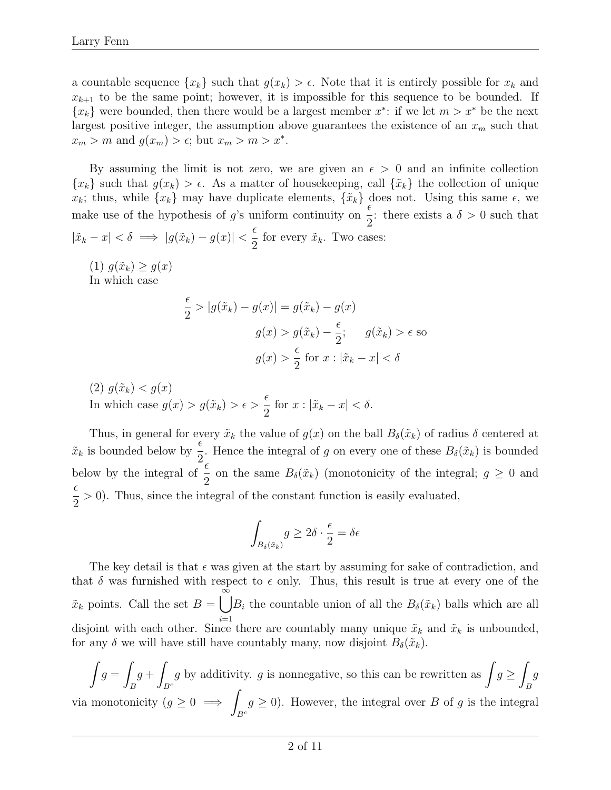a countable sequence  $\{x_k\}$  such that  $g(x_k) > \epsilon$ . Note that it is entirely possible for  $x_k$  and  $x_{k+1}$  to be the same point; however, it is impossible for this sequence to be bounded. If  ${x<sub>k</sub>}$  were bounded, then there would be a largest member  $x^*$ : if we let  $m > x^*$  be the next largest positive integer, the assumption above guarantees the existence of an  $x_m$  such that  $x_m > m$  and  $g(x_m) > \epsilon$ ; but  $x_m > m > x^*$ .

By assuming the limit is not zero, we are given an  $\epsilon > 0$  and an infinite collection  ${x_k}$  such that  $g(x_k) > \epsilon$ . As a matter of housekeeping, call  $\{\tilde{x}_k\}$  the collection of unique  $x_k$ ; thus, while  $\{x_k\}$  may have duplicate elements,  $\{\tilde{x}_k\}$  does not. Using this same  $\epsilon$ , we make use of the hypothesis of g's uniform continuity on  $\frac{\epsilon}{2}$ 2 : there exists a  $\delta > 0$  such that  $|\tilde{x}_k - x| < \delta \implies |g(\tilde{x}_k) - g(x)| < \frac{\epsilon}{2}$  $\frac{c}{2}$  for every  $\tilde{x}_k$ . Two cases:

(1)  $g(\tilde{x}_k) \geq g(x)$ In which case

$$
\frac{\epsilon}{2} > |g(\tilde{x}_k) - g(x)| = g(\tilde{x}_k) - g(x)
$$

$$
g(x) > g(\tilde{x}_k) - \frac{\epsilon}{2}; \quad g(\tilde{x}_k) > \epsilon \text{ so}
$$

$$
g(x) > \frac{\epsilon}{2} \text{ for } x : |\tilde{x}_k - x| < \delta
$$

(2)  $q(\tilde{x}_k) < q(x)$ In which case  $g(x) > g(\tilde{x}_k) > \epsilon$  $\epsilon$  $\frac{c}{2}$  for  $x: |\tilde{x}_k - x| < \delta$ .

Thus, in general for every  $\tilde{x}_k$  the value of  $g(x)$  on the ball  $B_\delta(\tilde{x}_k)$  of radius  $\delta$  centered at  $\tilde{x}_k$  is bounded below by  $\frac{\epsilon}{2}$ . Hence the integral of g on every one of these  $B_\delta(\tilde{x}_k)$  is bounded below by the integral of  $\frac{2}{5}$  $\frac{1}{2}$  on the same  $B_{\delta}(\tilde{x}_k)$  (monotonicity of the integral;  $g \geq 0$  and  $\epsilon$ 2  $> 0$ ). Thus, since the integral of the constant function is easily evaluated,

$$
\int_{B_\delta(\tilde{x}_k)}\hspace{-1em}g\geq 2\delta\cdot\frac{\epsilon}{2}=\delta\epsilon
$$

The key detail is that  $\epsilon$  was given at the start by assuming for sake of contradiction, and that  $\delta$  was furnished with respect to  $\epsilon$  only. Thus, this result is true at every one of the  $\tilde{x}_k$  points. Call the set  $B = \bigcup_{k=1}^{\infty} B_k$  the countable union of all the  $B_{\delta}(\tilde{x}_k)$  balls which are all disjoint with each other. Since there are countably many unique  $\tilde{x}_k$  and  $\tilde{x}_k$  is unbounded, for any  $\delta$  we will have still have countably many, now disjoint  $B_{\delta}(\tilde{x}_k)$ .

 $\int g =$ B  $g + \sqrt{g}$  $B<sup>c</sup>$ g by additivity. g is nonnegative, so this can be rewritten as  $\int g \geq 1$ B g via monotonicity  $(g \geq 0 \implies )$  $B^c$  $g \geq 0$ ). However, the integral over B of g is the integral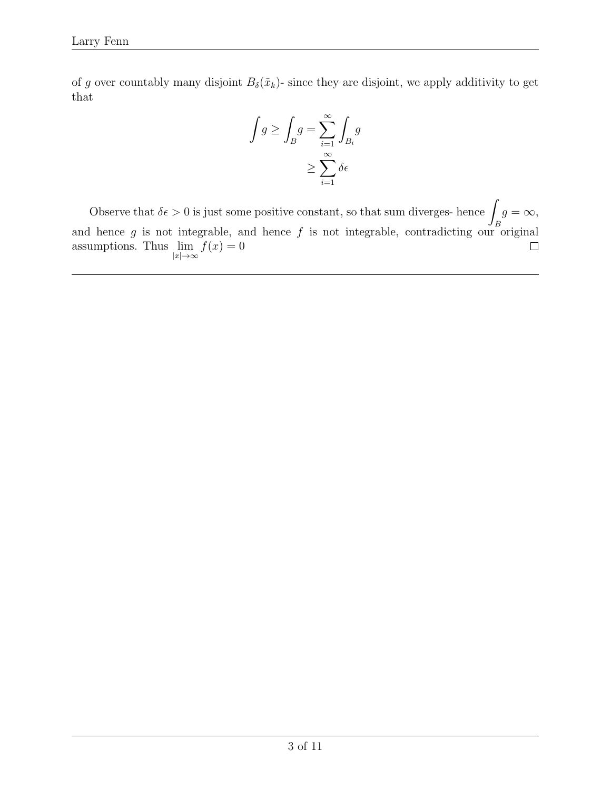of g over countably many disjoint  $B_\delta(\tilde{x}_k)$ - since they are disjoint, we apply additivity to get that

$$
\int g \ge \int_B g = \sum_{i=1}^{\infty} \int_{B_i} g
$$

$$
\ge \sum_{i=1}^{\infty} \delta \epsilon
$$

Observe that  $\delta \epsilon > 0$  is just some positive constant, so that sum diverges-hence  $g = \infty$ , B and hence g is not integrable, and hence f is not integrable, contradicting our original assumptions. Thus  $\lim_{|x| \to \infty} f(x) = 0$  $\Box$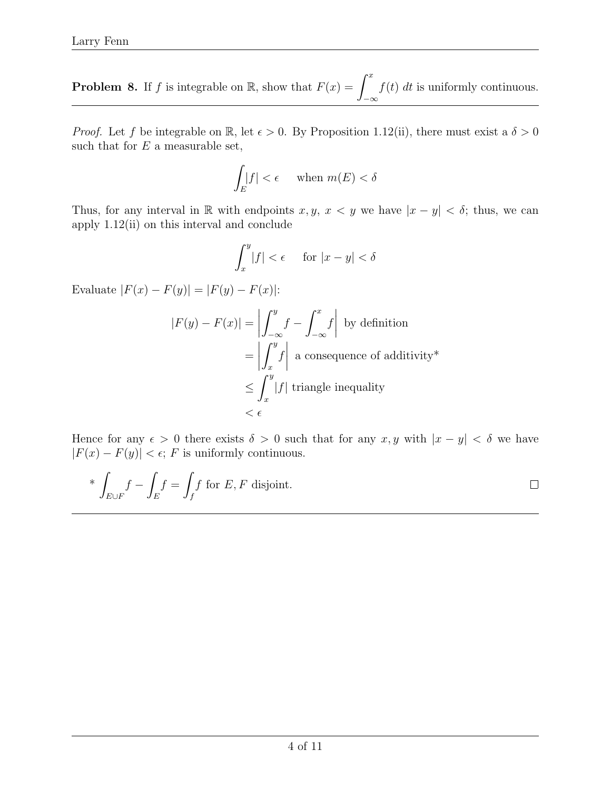**Problem 8.** If f is integrable on R, show that  $F(x) = \int^x$ −∞  $f(t)$  dt is uniformly continuous.

*Proof.* Let f be integrable on R, let  $\epsilon > 0$ . By Proposition 1.12(ii), there must exist a  $\delta > 0$ such that for  $E$  a measurable set,

$$
\int_E |f| < \epsilon \quad \text{when } m(E) < \delta
$$

Thus, for any interval in R with endpoints  $x, y, x < y$  we have  $|x - y| < \delta$ ; thus, we can apply 1.12(ii) on this interval and conclude

$$
\int_{x}^{y} |f| < \epsilon \quad \text{for } |x - y| < \delta
$$

Evaluate  $|F(x) - F(y)| = |F(y) - F(x)|$ :

$$
|F(y) - F(x)| = \left| \int_{-\infty}^{y} f - \int_{-\infty}^{x} f \right|
$$
 by definition  

$$
= \left| \int_{x}^{y} f \right|
$$
 a consequence of additivity\*
$$
\leq \int_{x}^{y} |f|
$$
 triangle inequality
$$
< \epsilon
$$

Hence for any  $\epsilon > 0$  there exists  $\delta > 0$  such that for any x, y with  $|x - y| < \delta$  we have  $|F(x) - F(y)| < \epsilon$ ; F is uniformly continuous.

\* 
$$
\int_{E \cup F} f - \int_{E} f = \int_{f} f
$$
 for E, F disjoint.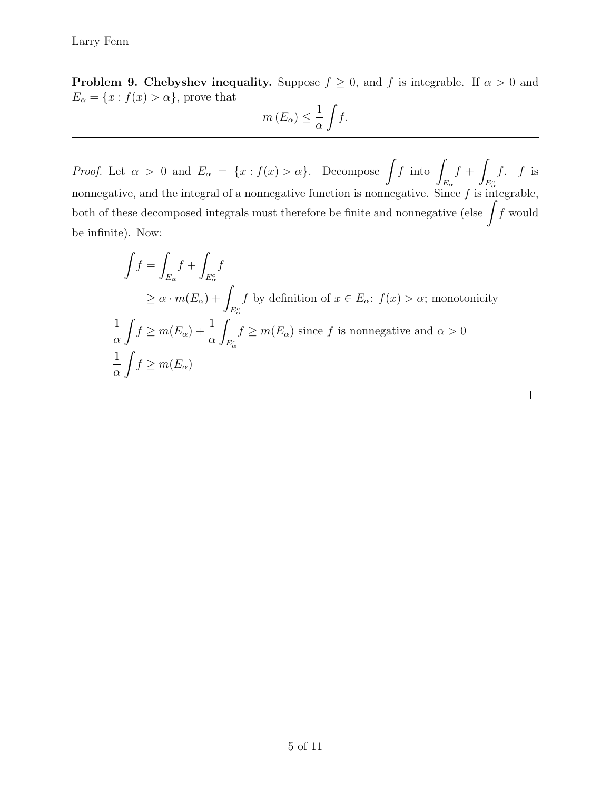**Problem 9. Chebyshev inequality.** Suppose  $f \ge 0$ , and f is integrable. If  $\alpha > 0$  and  $E_{\alpha} = \{x : f(x) > \alpha\}$ , prove that

$$
m(E_{\alpha}) \le \frac{1}{\alpha} \int f.
$$

*Proof.* Let  $\alpha > 0$  and  $E_{\alpha} = \{x : f(x) > \alpha\}$ . Decompose  $\int f$  into  $E_{\alpha}$  $f + \sqrt{2}$  $E^c_\alpha$  $f$ .  $f$  is nonnegative, and the integral of a nonnegative function is nonnegative. Since  $f$  is integrable, both of these decomposed integrals must therefore be finite and nonnegative (else  $\int f$  would be infinite). Now:

$$
\int f = \int_{E_{\alpha}} f + \int_{E_{\alpha}^{c}} f
$$
\n
$$
\geq \alpha \cdot m(E_{\alpha}) + \int_{E_{\alpha}^{c}} f \text{ by definition of } x \in E_{\alpha}: f(x) > \alpha; \text{ monotonicity}
$$
\n
$$
\frac{1}{\alpha} \int f \geq m(E_{\alpha}) + \frac{1}{\alpha} \int_{E_{\alpha}^{c}} f \geq m(E_{\alpha}) \text{ since } f \text{ is nonnegative and } \alpha > 0
$$
\n
$$
\frac{1}{\alpha} \int f \geq m(E_{\alpha})
$$

 $\Box$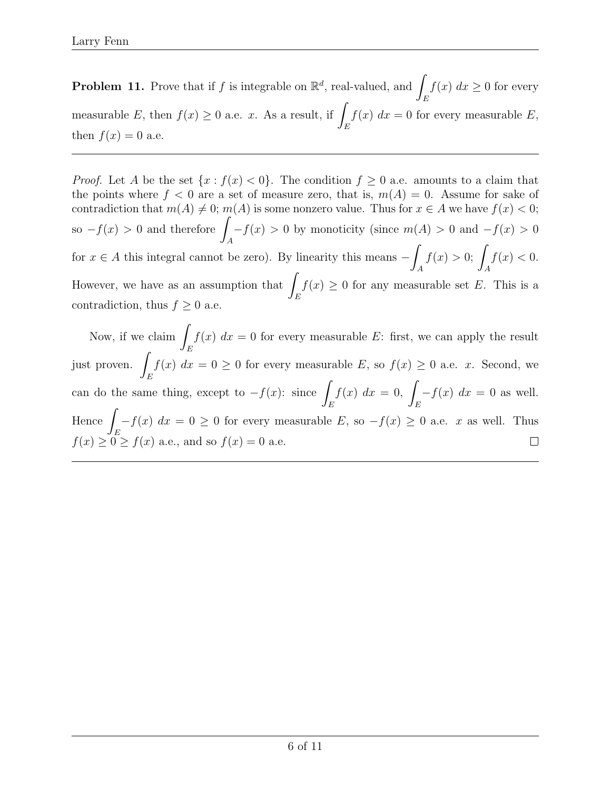**Problem 11.** Prove that if f is integrable on  $\mathbb{R}^d$ , real-valued, and  $\blacksquare$ E  $f(x) dx \geq 0$  for every measurable E, then  $f(x) \geq 0$  a.e. x. As a result, if  $\Box$ E  $f(x) dx = 0$  for every measurable E, then  $f(x) = 0$  a.e.

*Proof.* Let A be the set  $\{x : f(x) < 0\}$ . The condition  $f \ge 0$  a.e. amounts to a claim that the points where  $f < 0$  are a set of measure zero, that is,  $m(A) = 0$ . Assume for sake of contradiction that  $m(A) \neq 0$ ;  $m(A)$  is some nonzero value. Thus for  $x \in A$  we have  $f(x) < 0$ ; so  $-f(x) > 0$  and therefore A  $-f(x) > 0$  by monoticity (since  $m(A) > 0$  and  $-f(x) > 0$ for  $x \in A$  this integral cannot be zero). By linearity this means  $-\int$ A  $f(x) > 0;$ A  $f(x) < 0.$ However, we have as an assumption that  $\int$ E  $f(x) \geq 0$  for any measurable set E. This is a contradiction, thus  $f \geq 0$  a.e.

Now, if we claim  $\int$  $f(x)$   $dx = 0$  for every measurable E: first, we can apply the result E just proven.  $f(x)$   $dx = 0 \ge 0$  for every measurable E, so  $f(x) \ge 0$  a.e. x. Second, we E can do the same thing, except to  $-f(x)$ : since  $f(x) dx = 0,$  $-f(x) dx = 0$  as well. E E Hence  $-f(x)$  dx = 0 ≥ 0 for every measurable E, so  $-f(x) \ge 0$  a.e. x as well. Thus E  $f(x) \geq 0 \geq f(x)$  a.e., and so  $f(x) = 0$  a.e.  $\Box$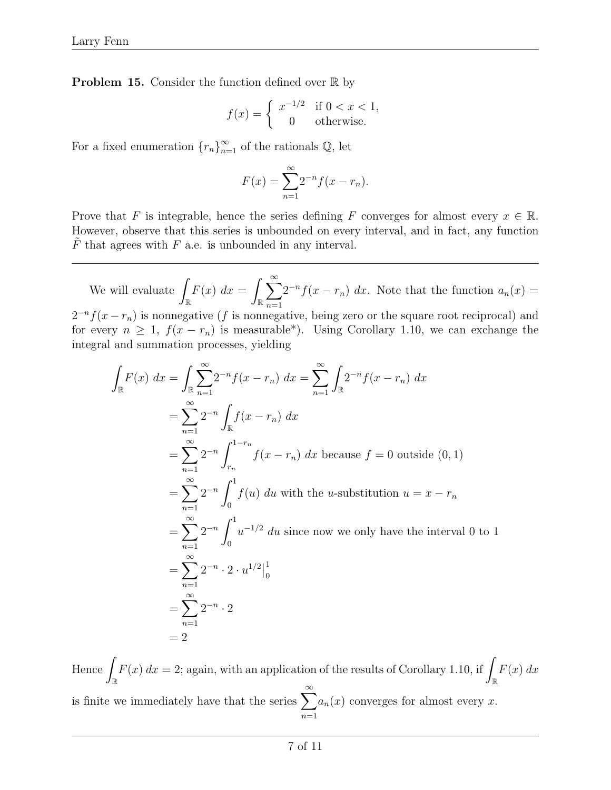**Problem 15.** Consider the function defined over  $\mathbb{R}$  by

$$
f(x) = \begin{cases} x^{-1/2} & \text{if } 0 < x < 1, \\ 0 & \text{otherwise.} \end{cases}
$$

For a fixed enumeration  ${r_n}_{n=1}^{\infty}$  of the rationals  $\mathbb{Q}$ , let

$$
F(x) = \sum_{n=1}^{\infty} 2^{-n} f(x - r_n).
$$

Prove that F is integrable, hence the series defining F converges for almost every  $x \in \mathbb{R}$ . However, observe that this series is unbounded on every interval, and in fact, any function  $F$  that agrees with  $F$  a.e. is unbounded in any interval.

We will evaluate  $\int$ R  $F(x) dx =$ R  $\sum^{\infty}$  $n=1$  $2^{-n}f(x - r_n)$  dx. Note that the function  $a_n(x) =$  $2^{-n}f(x-r_n)$  is nonnegative (f is nonnegative, being zero or the square root reciprocal) and for every  $n \geq 1$ ,  $f(x - r_n)$  is measurable\*). Using Corollary 1.10, we can exchange the integral and summation processes, yielding

$$
\int_{\mathbb{R}} F(x) dx = \int_{\mathbb{R}} \sum_{n=1}^{\infty} 2^{-n} f(x - r_n) dx = \sum_{n=1}^{\infty} \int_{\mathbb{R}} 2^{-n} f(x - r_n) dx
$$
  
\n
$$
= \sum_{n=1}^{\infty} 2^{-n} \int_{\mathbb{R}} f(x - r_n) dx
$$
  
\n
$$
= \sum_{n=1}^{\infty} 2^{-n} \int_{r_n}^{1 - r_n} f(x - r_n) dx \text{ because } f = 0 \text{ outside } (0, 1)
$$
  
\n
$$
= \sum_{n=1}^{\infty} 2^{-n} \int_{0}^{1} f(u) du \text{ with the } u \text{-substitution } u = x - r_n
$$
  
\n
$$
= \sum_{n=1}^{\infty} 2^{-n} \int_{0}^{1} u^{-1/2} du \text{ since now we only have the interval 0 to 1}
$$
  
\n
$$
= \sum_{n=1}^{\infty} 2^{-n} \cdot 2 \cdot u^{1/2} \Big|_{0}^{1}
$$
  
\n
$$
= \sum_{n=1}^{\infty} 2^{-n} \cdot 2
$$
  
\n
$$
= 2
$$

Hence R  $F(x) dx = 2$ ; again, with an application of the results of Corollary 1.10, if R  $F(x) dx$ is finite we immediately have that the series  $\sum_{n=1}^{\infty} a_n(x)$  converges for almost every x.  $n=1$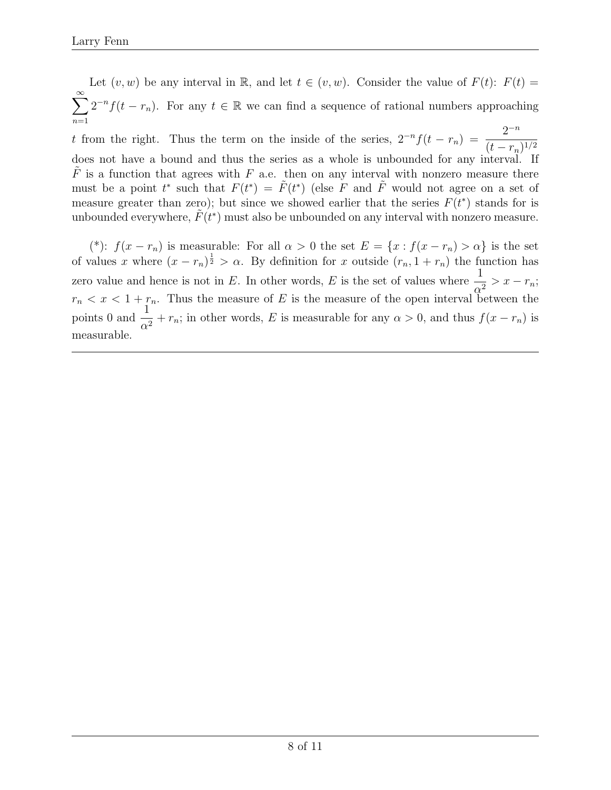Let  $(v, w)$  be any interval in R, and let  $t \in (v, w)$ . Consider the value of  $F(t)$ :  $F(t)$  =  $\sum_{n=1}^{\infty} 2^{-n} f(t - r_n)$ . For any  $t \in \mathbb{R}$  we can find a sequence of rational numbers approaching  $n=1$ 

t from the right. Thus the term on the inside of the series,  $2^{-n}f(t-r_n) = \frac{2^{-n}}{(1-r_n)^n}$  $(t - r_n)^{1/2}$ does not have a bound and thus the series as a whole is unbounded for any interval. If  $\tilde{F}$  is a function that agrees with F a.e. then on any interval with nonzero measure there must be a point  $t^*$  such that  $F(t^*) = \tilde{F}(t^*)$  (else F and  $\tilde{F}$  would not agree on a set of measure greater than zero); but since we showed earlier that the series  $F(t^*)$  stands for is unbounded everywhere,  $\tilde{F}(t^*)$  must also be unbounded on any interval with nonzero measure.

(\*):  $f(x - r_n)$  is measurable: For all  $\alpha > 0$  the set  $E = \{x : f(x - r_n) > \alpha\}$  is the set of values x where  $(x - r_n)^{\frac{1}{2}} > \alpha$ . By definition for x outside  $(r_n, 1 + r_n)$  the function has zero value and hence is not in E. In other words, E is the set of values where  $\frac{1}{2}$  $\frac{1}{\alpha^2} > x - r_n;$  $r_n < x < 1 + r_n$ . Thus the measure of E is the measure of the open interval between the points 0 and  $\frac{1}{4}$  $\frac{1}{\alpha^2} + r_n$ ; in other words, E is measurable for any  $\alpha > 0$ , and thus  $f(x - r_n)$  is measurable.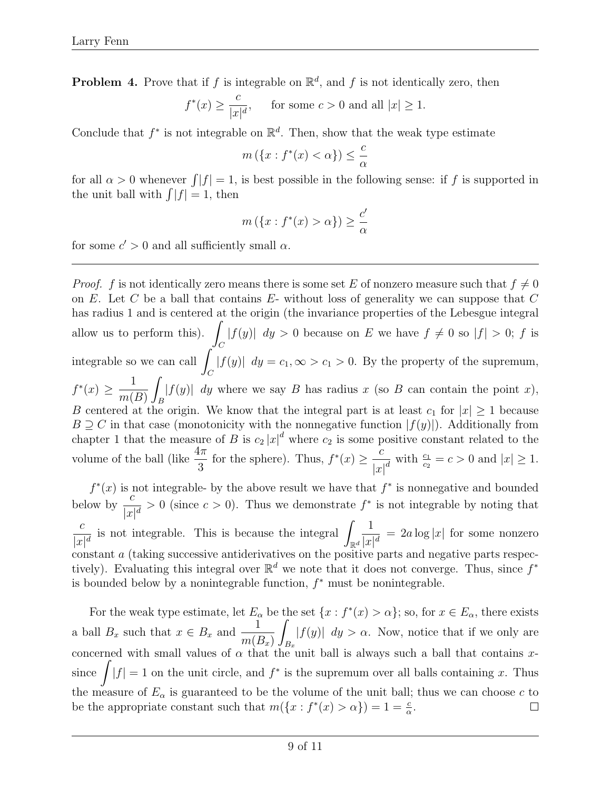**Problem 4.** Prove that if f is integrable on  $\mathbb{R}^d$ , and f is not identically zero, then

$$
f^*(x) \ge \frac{c}{|x|^d}, \quad \text{for some } c > 0 \text{ and all } |x| \ge 1.
$$

Conclude that  $f^*$  is not integrable on  $\mathbb{R}^d$ . Then, show that the weak type estimate

$$
m(\{x : f^*(x) < \alpha\}) \le \frac{c}{\alpha}
$$

for all  $\alpha > 0$  whenever  $\int |f| = 1$ , is best possible in the following sense: if f is supported in the unit ball with  $||f|| = 1$ , then

$$
m(\lbrace x : f^*(x) > \alpha \rbrace) \ge \frac{c'}{\alpha}
$$

for some  $c' > 0$  and all sufficiently small  $\alpha$ .

*Proof.* f is not identically zero means there is some set E of nonzero measure such that  $f \neq 0$ on E. Let C be a ball that contains  $E$ - without loss of generality we can suppose that C has radius 1 and is centered at the origin (the invariance properties of the Lebesgue integral allow us to perform this).  $\blacksquare$  $\mathcal{C}_{0}^{0}$  $|f(y)| dy > 0$  because on E we have  $f \neq 0$  so  $|f| > 0$ ; f is integrable so we can call  $\int$  $\mathcal{C}_{0}^{(n)}$  $|f(y)| dy = c_1, \infty > c_1 > 0$ . By the property of the supremum,  $f^*(x) \geq \frac{1}{\sqrt{2}}$  $m(B)$ Z B  $|f(y)|$  dy where we say B has radius x (so B can contain the point x), B centered at the origin. We know that the integral part is at least  $c_1$  for  $|x| \geq 1$  because  $B \supset C$  in that case (monotonicity with the nonnegative function  $|f(y)|$ ). Additionally from chapter 1 that the measure of B is  $c_2 |x|^d$  where  $c_2$  is some positive constant related to the volume of the ball (like  $\frac{4\pi}{3}$ 3 for the sphere). Thus,  $f^*(x) \geq \frac{c}{x}$  $\frac{c}{|x|^d}$  with  $\frac{c_1}{c_2} = c > 0$  and  $|x| \ge 1$ .  $f^*(x)$  is not integrable- by the above result we have that  $f^*$  is nonnegative and bounded

below by  $\frac{c}{1}$  $\frac{c}{|x|^d} > 0$  (since  $c > 0$ ). Thus we demonstrate  $f^*$  is not integrable by noting that  $\mathcal{C}_{0}$  $\frac{c}{|x|^d}$  is not integrable. This is because the integral  $\int$  $\mathbb{R}^d$ 1  $\frac{1}{|x|^d} = 2a \log |x|$  for some nonzero constant a (taking successive antiderivatives on the positive parts and negative parts respectively). Evaluating this integral over  $\mathbb{R}^d$  we note that it does not converge. Thus, since  $f^*$ is bounded below by a nonintegrable function,  $f^*$  must be nonintegrable.

For the weak type estimate, let  $E_{\alpha}$  be the set  $\{x : f^*(x) > \alpha\}$ ; so, for  $x \in E_{\alpha}$ , there exists a ball  $B_x$  such that  $x \in B_x$  and  $\frac{1}{\sqrt{1-x}}$ Z  $|f(y)| dy > \alpha$ . Now, notice that if we only are  $m(B_x)$  $B_x$ concerned with small values of  $\alpha$  that the unit ball is always such a ball that contains xsince  $\int |f| = 1$  on the unit circle, and  $f^*$  is the supremum over all balls containing x. Thus the measure of  $E_{\alpha}$  is guaranteed to be the volume of the unit ball; thus we can choose c to be the appropriate constant such that  $m({x : f^*(x) > \alpha}) = 1 = \frac{c}{\alpha}$ .  $\Box$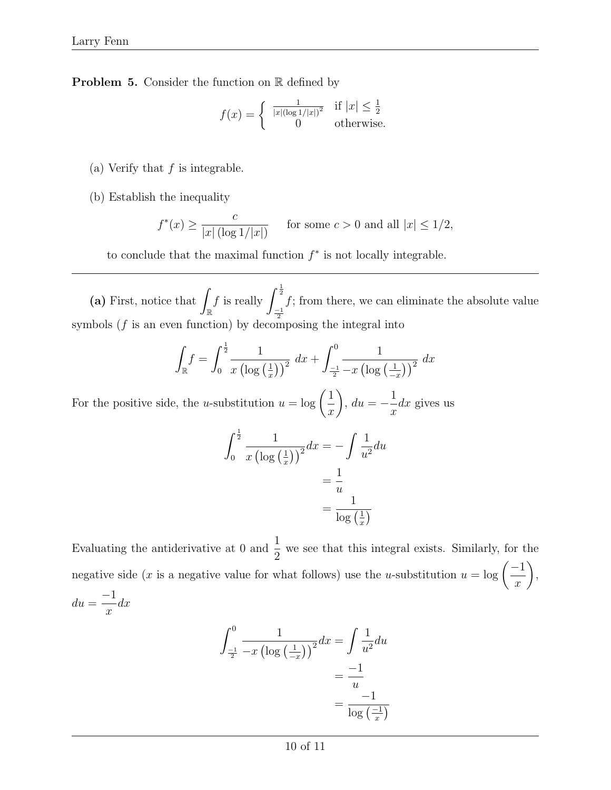Problem 5. Consider the function on  $\mathbb R$  defined by

$$
f(x) = \begin{cases} \frac{1}{|x|(\log 1/|x|)^2} & \text{if } |x| \leq \frac{1}{2} \\ 0 & \text{otherwise.} \end{cases}
$$

- (a) Verify that  $f$  is integrable.
- (b) Establish the inequality

$$
f^*(x) \ge \frac{c}{|x| \left(\log 1/|x|\right)} \quad \text{ for some } c > 0 \text{ and all } |x| \le 1/2,
$$

to conclude that the maximal function  $f^*$  is not locally integrable.

(a) First, notice that  $\int$ R f is really  $\int^{\frac{1}{2}}$  $\int_{-1}^{1} f$ ; from there, we can eliminate the absolute value symbols (f is an even function) by decomposing the integral into

$$
\int_{\mathbb{R}} f = \int_0^{\frac{1}{2}} \frac{1}{x \left( \log \left( \frac{1}{x} \right) \right)^2} dx + \int_{\frac{-1}{2}}^0 \frac{1}{-x \left( \log \left( \frac{1}{-x} \right) \right)^2} dx
$$

For the positive side, the *u*-substitution  $u = \log \left( \frac{1}{2} \right)$  $\boldsymbol{x}$  $\setminus$  $, du = -\frac{1}{u}$  $\overline{x}$  $dx$  gives us

$$
\int_0^{\frac{1}{2}} \frac{1}{x \left(\log\left(\frac{1}{x}\right)\right)^2} dx = -\int \frac{1}{u^2} du
$$

$$
= \frac{1}{u}
$$

$$
= \frac{1}{\log\left(\frac{1}{x}\right)}
$$

Evaluating the antiderivative at 0 and  $\frac{1}{2}$ 2 we see that this integral exists. Similarly, for the negative side (x is a negative value for what follows) use the u-substitution  $u = \log \left( \frac{-1}{u} \right)$  $\overline{x}$  $\setminus$ ,  $du =$ −1  $\overline{x}$  $dx$ 

$$
\int_{\frac{-1}{2}}^{0} \frac{1}{-x \left(\log\left(\frac{1}{-x}\right)\right)^2} dx = \int \frac{1}{u^2} du
$$

$$
= \frac{-1}{u}
$$

$$
= \frac{-1}{\log\left(\frac{-1}{x}\right)}
$$